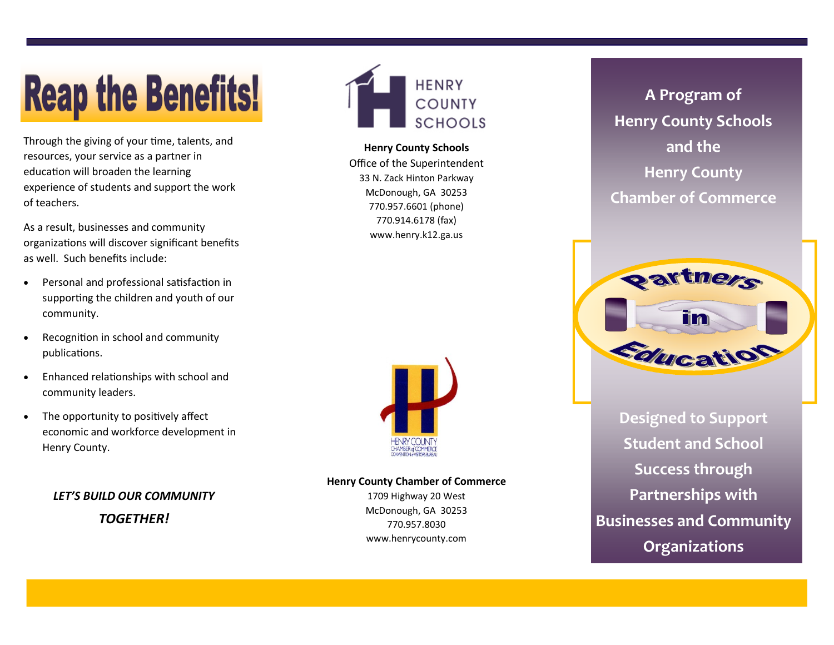# **Reap the Benefits!**

Through the giving of your time, talents, and resources, your service as a partner in education will broaden the learning experience of students and support the work of teachers.

As a result, businesses and community organizations will discover significant benefits as well. Such benefits include:

- Personal and professional satisfaction in supporting the children and youth of our community.
- Recognition in school and community publications.
- Enhanced relationships with school and community leaders.
- The opportunity to positively affect economic and workforce development in Henry County.

*LET'S BUILD OUR COMMUNITY TOGETHER!*



**Henry County Schools** Office of the Superintendent 33 N. Zack Hinton Parkway McDonough, GA 30253 770.957.6601 (phone) 770.914.6178 (fax) www.henry.k12.ga.us



#### **Henry County Chamber of Commerce**

1709 Highway 20 West McDonough, GA 30253 770.957.8030 www.henrycounty.com

**A Program of Henry County Schools and the Henry County Chamber of Commerce**



**Designed to Support Student and School Success through Partnerships with Businesses and Community Organizations**